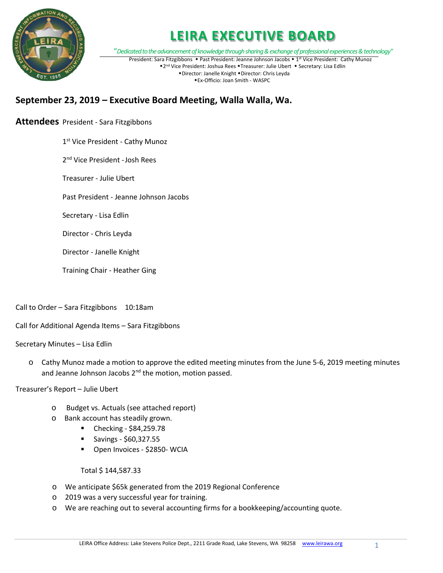

### **LEIRA EXECUTIVE BOARD**

"*Dedicated to the advancement of knowledge through sharing & exchange of professional experiences & technology"* President: Sara Fitzgibbons • Past President: Jeanne Johnson Jacobs • 1st Vice President: Cathy Munoz \*2<sup>nd</sup> Vice President: Joshua Rees \*Treasurer: Julie Ubert \* Secretary: Lisa Edlin \*Director: Janelle Knight \*Director: Chris Leyda Ex-Officio: Joan Smith - WASPC

### **September 23, 2019 – Executive Board Meeting, Walla Walla, Wa.**

### **Attendees** President - Sara Fitzgibbons

1st Vice President - Cathy Munoz

2<sup>nd</sup> Vice President - Josh Rees

Treasurer - Julie Ubert

Past President - Jeanne Johnson Jacobs

Secretary - Lisa Edlin

Director - Chris Leyda

Director - Janelle Knight

Training Chair - Heather Ging

Call to Order – Sara Fitzgibbons 10:18am

Call for Additional Agenda Items – Sara Fitzgibbons

Secretary Minutes – Lisa Edlin

o Cathy Munoz made a motion to approve the edited meeting minutes from the June 5-6, 2019 meeting minutes and Jeanne Johnson Jacobs 2<sup>nd</sup> the motion, motion passed.

Treasurer's Report – Julie Ubert

- o Budget vs. Actuals (see attached report)
- o Bank account has steadily grown.
	- Checking \$84,259.78
	- $\blacksquare$  Savings \$60,327.55
	- Open Invoices \$2850- WCIA

#### Total \$ 144,587.33

- o We anticipate \$65k generated from the 2019 Regional Conference
- o 2019 was a very successful year for training.
- o We are reaching out to several accounting firms for a bookkeeping/accounting quote.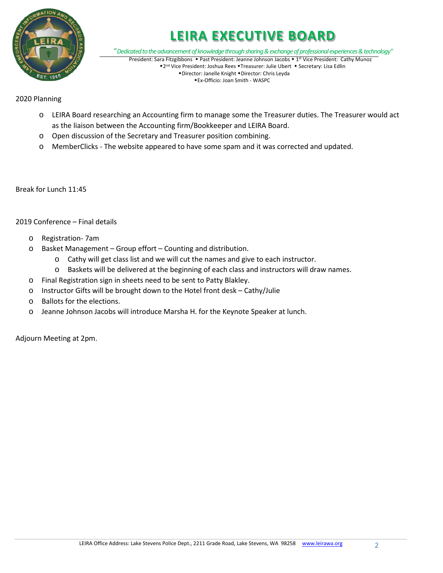

## **LEIRA EXECUTIVE BOARD**

"*Dedicated to the advancement of knowledge through sharing & exchange of professional experiences & technology"* President: Sara Fitzgibbons • Past President: Jeanne Johnson Jacobs • 1st Vice President: Cathy Munoz \*2<sup>nd</sup> Vice President: Joshua Rees \*Treasurer: Julie Ubert \* Secretary: Lisa Edlin \*Director: Janelle Knight \*Director: Chris Leyda

Ex-Officio: Joan Smith - WASPC

### 2020 Planning

- o LEIRA Board researching an Accounting firm to manage some the Treasurer duties. The Treasurer would act as the liaison between the Accounting firm/Bookkeeper and LEIRA Board.
- o Open discussion of the Secretary and Treasurer position combining.
- o MemberClicks The website appeared to have some spam and it was corrected and updated.

Break for Lunch 11:45

#### 2019 Conference – Final details

- o Registration- 7am
- o Basket Management Group effort Counting and distribution.
	- o Cathy will get class list and we will cut the names and give to each instructor.
	- o Baskets will be delivered at the beginning of each class and instructors will draw names.
- o Final Registration sign in sheets need to be sent to Patty Blakley.
- o Instructor Gifts will be brought down to the Hotel front desk Cathy/Julie
- o Ballots for the elections.
- o Jeanne Johnson Jacobs will introduce Marsha H. for the Keynote Speaker at lunch.

Adjourn Meeting at 2pm.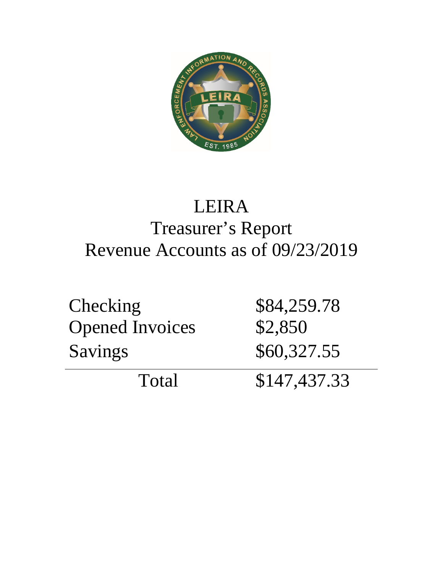

# LEIRA Treasurer's Report Revenue Accounts as of 09/23/2019

| <b>Checking</b>        | \$84,259.78  |
|------------------------|--------------|
| <b>Opened Invoices</b> | \$2,850      |
| <b>Savings</b>         | \$60,327.55  |
| Total                  | \$147,437.33 |